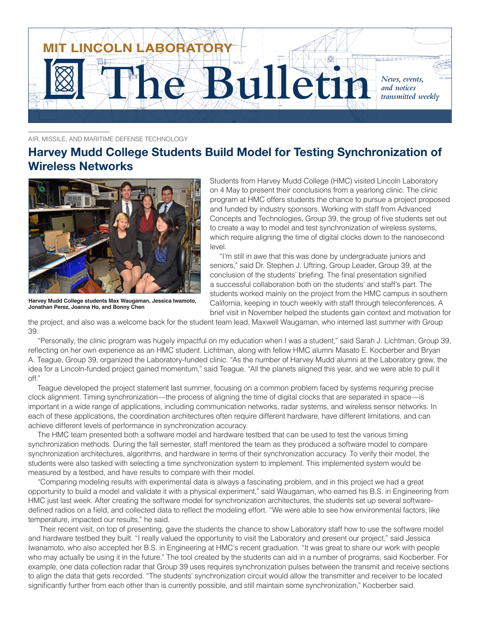

AIR, MISSILE, AND MARITIME DEFENSE TECHNOLOGY

## **Harvey Mudd College Students Build Model for Testing Synchronization of Wireless Networks**



**Harvey Mudd College students Max Waugaman, Jessica Iwamoto, Jonathan Perez, Joanna Ho, and Bonny Chen**

Students from Harvey Mudd College (HMC) visited Lincoln Laboratory on 4 May to present their conclusions from a yearlong clinic. The clinic program at HMC offers students the chance to pursue a project proposed and funded by industry sponsors. Working with staff from Advanced Concepts and Technologies, Group 39, the group of five students set out to create a way to model and test synchronization of wireless systems, which require aligning the time of digital clocks down to the nanosecond level.

"I'm still in awe that this was done by undergraduate juniors and seniors," said Dr. Stephen J. Uftring, Group Leader, Group 39, at the conclusion of the students' briefing. The final presentation signified a successful collaboration both on the students' and staff's part. The students worked mainly on the project from the HMC campus in southern California, keeping in touch weekly with staff through teleconferences. A brief visit in November helped the students gain context and motivation for

the project, and also was a welcome back for the student team lead, Maxwell Waugaman, who interned last summer with Group 39.

"Personally, the clinic program was hugely impactful on my education when I was a student," said Sarah J. Lichtman, Group 39, reflecting on her own experience as an HMC student. Lichtman, along with fellow HMC alumni Masato E. Kocberber and Bryan A. Teague, Group 39, organized the Laboratory-funded clinic. "As the number of Harvey Mudd alumni at the Laboratory grew, the idea for a Lincoln-funded project gained momentum," said Teague. "All the planets aligned this year, and we were able to pull it off."

Teague developed the project statement last summer, focusing on a common problem faced by systems requiring precise clock alignment. Timing synchronization—the process of aligning the time of digital clocks that are separated in space—is important in a wide range of applications, including communication networks, radar systems, and wireless sensor networks. In each of these applications, the coordination architectures often require different hardware, have different limitations, and can achieve different levels of performance in synchronization accuracy.

The HMC team presented both a software model and hardware testbed that can be used to test the various timing synchronization methods. During the fall semester, staff mentored the team as they produced a software model to compare synchronization architectures, algorithms, and hardware in terms of their synchronization accuracy. To verify their model, the students were also tasked with selecting a time synchronization system to implement. This implemented system would be measured by a testbed, and have results to compare with their model.

"Comparing modeling results with experimental data is always a fascinating problem, and in this project we had a great opportunity to build a model and validate it with a physical experiment," said Waugaman, who earned his B.S. in Engineering from HMC just last week. After creating the software model for synchronization architectures, the students set up several softwaredefined radios on a field, and collected data to reflect the modeling effort. "We were able to see how environmental factors, like temperature, impacted our results," he said.

 Their recent visit, on top of presenting, gave the students the chance to show Laboratory staff how to use the software model and hardware testbed they built. "I really valued the opportunity to visit the Laboratory and present our project," said Jessica Iwanamoto, who also accepted her B.S. in Engineering at HMC's recent graduation. "It was great to share our work with people who may actually be using it in the future." The tool created by the students can aid in a number of programs, said Kocberber. For example, one data collection radar that Group 39 uses requires synchronization pulses between the transmit and receive sections to align the data that gets recorded. "The students' synchronization circuit would allow the transmitter and receiver to be located significantly further from each other than is currently possible, and still maintain some synchronization," Kocberber said.